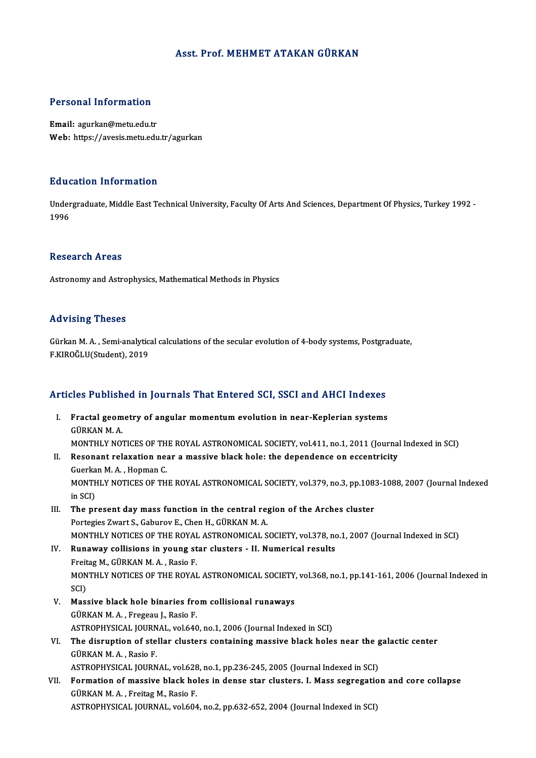### Asst. Prof.MEHMET ATAKAN GÜRKAN

#### Personal Information

Email: agurkan@metu.edu.tr Web: https://avesis.metu.edu.tr/agurkan

#### Education Information

**Education Information**<br>Undergraduate, Middle East Technical University, Faculty Of Arts And Sciences, Department Of Physics, Turkey 1992 -<br>1996 Laud<br>Under<br>1996 1996<br>Research Areas

Astronomy and Astrophysics, Mathematical Methods in Physics

#### Advising Theses

Gürkan M.A., Semi-analytical calculations of the secular evolution of 4-body systems, Postgraduate, F.KIROĞLU(Student),2019

# Articles Published in Journals That Entered SCI, SSCI and AHCI Indexes

- rticles Published in Journals That Entered SCI, SSCI and AHCI Indexes<br>I. Fractal geometry of angular momentum evolution in near-Keplerian systems<br>CÜPKAN M A I. Fractal geometry of angular momentum evolution in near-Keplerian systems<br>GÜRKAN M. A. MONTHLY NOTICES OF THE ROYAL ASTRONOMICAL SOCIETY, vol.411, no.1, 2011 (Journal Indexed in SCI) GÜRKAN M. A.<br>MONTHLY NOTICES OF THE ROYAL ASTRONOMICAL SOCIETY, vol.411, no.1, 2011 (Journal<br>II. Resonant relaxation near a massive black hole: the dependence on eccentricity<br>Cuerkan M. A. Hanman C MONTHLY NOTICES OF TH<br>Resonant relaxation ne:<br>Guerkan M. A. , Hopman C.<br>MONTHLY NOTICES OF TH Resonant relaxation near a massive black hole: the dependence on eccentricity<br>Guerkan M. A. , Hopman C.<br>MONTHLY NOTICES OF THE ROYAL ASTRONOMICAL SOCIETY, vol.379, no.3, pp.1083-1088, 2007 (Journal Indexed<br>in SCD Guerka<br>MONTH<br>in SCI)<br>The nn MONTHLY NOTICES OF THE ROYAL ASTRONOMICAL SOCIETY, vol.379, no.3, pp.108:<br>in SCI)<br>III. The present day mass function in the central region of the Arches cluster<br>Portagion 7wart S. Coburey E. Chan H. CUREAN M.A. in SCI)<br>III. The present day mass function in the central region of the Arches cluster<br>Portegies Zwart S., Gaburov E., Chen H., GÜRKAN M. A.
- The present day mass function in the central region of the Arches cluster<br>Portegies Zwart S., Gaburov E., Chen H., GÜRKAN M. A.<br>MONTHLY NOTICES OF THE ROYAL ASTRONOMICAL SOCIETY, vol.378, no.1, 2007 (Journal Indexed in SCI MONTHLY NOTICES OF THE ROYAL<br>Runaway collisions in young st<br>Freitag M., GÜRKAN M.A., Rasio F.<br>MONTHLY NOTICES OF THE POYAL
- IV. Runaway collisions in young star clusters II. Numerical results<br>Freitag M., GÜRKAN M. A., Rasio F. Runaway collisions in young star clusters - II. Numerical results<br>Freitag M., GÜRKAN M. A. , Rasio F.<br>MONTHLY NOTICES OF THE ROYAL ASTRONOMICAL SOCIETY, vol.368, no.1, pp.141-161, 2006 (Journal Indexed in<br>SCD Freit<br>MON<br>SCI)<br>Mos MONTHLY NOTICES OF THE ROYAL ASTRONOMICAL SOCIETY,<br>SCI)<br>V. Massive black hole binaries from collisional runaways<br>CÜRKANM A. Fragasu J. Basia F.
- SCI)<br>V. Massive black hole binaries from collisional runaways<br>GÜRKAN M. A., Fregeau J., Rasio F. Massive black hole binaries from collisional runaways<br>GÜRKAN M. A. , Fregeau J., Rasio F.<br>ASTROPHYSICAL JOURNAL, vol.640, no.1, 2006 (Journal Indexed in SCI)<br>The dispuntion of stallar clusters containing massive black hole
- GÜRKAN M. A. , Fregeau J., Rasio F.<br>ASTROPHYSICAL JOURNAL, vol.640, no.1, 2006 (Journal Indexed in SCI)<br>VI. The disruption of stellar clusters containing massive black holes near the galactic center<br>CÜRKAN M. A. Basis E. ASTROPHYSICAL JOURN<br>The disruption of ste<br>GÜRKAN M. A. , Rasio F.<br>ASTROPHYSICAL JOURN The disruption of stellar clusters containing massive black holes near the g<br>GÜRKAN M. A., Rasio F.<br>ASTROPHYSICAL JOURNAL, vol.628, no.1, pp.236-245, 2005 (Journal Indexed in SCI)<br>Formation of massive block boles in danse GÜRKAN M. A. , Rasio F.<br>ASTROPHYSICAL JOURNAL, vol.628, no.1, pp.236-245, 2005 (Journal Indexed in SCI)<br>VII. Formation of massive black holes in dense star clusters. I. Mass segregation and core collapse<br>CÜPKAN M. A. Ensit
- ASTROPHYSICAL JOURNAL, vol.628, no.1, pp.236-245, 2005 (Journal Indexed in SCI)<br>Formation of massive black holes in dense star clusters. I. Mass segregatio<br>GÜRKAN M. A., Freitag M., Rasio F.<br>ASTROPHYSICAL JOURNAL, vol.604, Formation of massive black holes in dense star clusters. I. Mass segregatic<br>GÜRKAN M. A. , Freitag M., Rasio F.<br>ASTROPHYSICAL JOURNAL, vol.604, no.2, pp.632-652, 2004 (Journal Indexed in SCI)